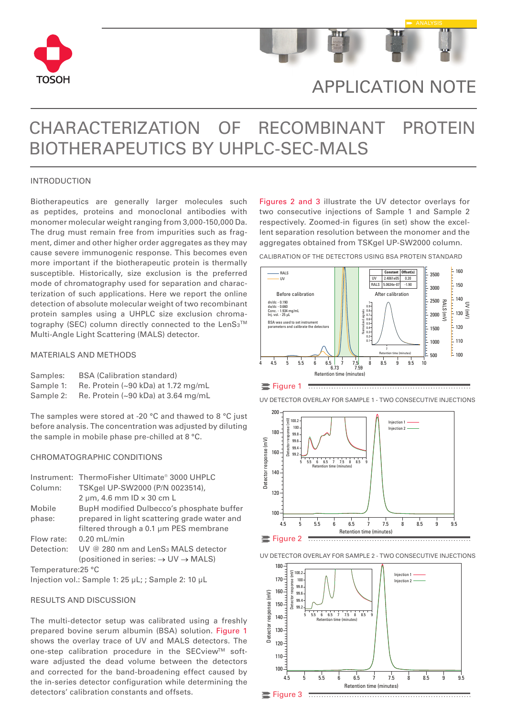



# APPLICATION NOTE

# CHARACTERIZATION OF RECOMBINANT PROTEIN BIOTHERAPEUTICS BY UHPLC-SEC-MALS

## INTRODUCTION

Biotherapeutics are generally larger molecules such as peptides, proteins and monoclonal antibodies with monomer molecular weight ranging from 3,000-150,000 Da. The drug must remain free from impurities such as fragment, dimer and other higher order aggregates as they may cause severe immunogenic response. This becomes even more important if the biotherapeutic protein is thermally susceptible. Historically, size exclusion is the preferred mode of chromatography used for separation and characterization of such applications. Here we report the online detection of absolute molecular weight of two recombinant protein samples using a UHPLC size exclusion chromatography (SEC) column directly connected to the LenS3™ Multi-Angle Light Scattering (MALS) detector.

# MATERIALS AND METHODS

| Samples:  | <b>BSA (Calibration standard)</b>             |  |  |  |
|-----------|-----------------------------------------------|--|--|--|
| Sample 1: | Re. Protein $(-90 \text{ kDa})$ at 1.72 mg/mL |  |  |  |
| Sample 2: | Re. Protein (~90 kDa) at 3.64 mg/mL           |  |  |  |

The samples were stored at -20 °C and thawed to 8 °C just before analysis. The concentration was adjusted by diluting the sample in mobile phase pre-chilled at 8 °C.

## CHROMATOGRAPHIC CONDITIONS

|                    | Instrument: ThermoFisher Ultimate® 3000 UHPLC               |
|--------------------|-------------------------------------------------------------|
| Column:            | TSKgel UP-SW2000 (P/N 0023514),                             |
|                    | $2 \mu m$ , 4.6 mm ID $\times$ 30 cm L                      |
| Mobile             | BupH modified Dulbecco's phosphate buffer                   |
| phase:             | prepared in light scattering grade water and                |
|                    | filtered through a 0.1 um PES membrane                      |
| Flow rate:         | $0.20$ mL/min                                               |
| Detection:         | UV @ 280 nm and LenS <sub>3</sub> MALS detector             |
|                    | (positioned in series: $\rightarrow$ UV $\rightarrow$ MALS) |
| Temperature: 25 °C |                                                             |
|                    | Injection vol.: Sample 1: 25 uL:: Sample 2: 10 uL           |

### RESULTS AND DISCUSSION

The multi-detector setup was calibrated using a freshly prepared bovine serum albumin (BSA) solution. Figure 1 shows the overlay trace of UV and MALS detectors. The one-step calibration procedure in the SECview™ software adjusted the dead volume between the detectors and corrected for the band-broadening effect caused by the in-series detector configuration while determining the detectors' calibration constants and offsets.

Figures 2 and 3 illustrate the UV detector overlays for two consecutive injections of Sample 1 and Sample 2 respectively. Zoomed-in figures (in set) show the excellent separation resolution between the monomer and the aggregates obtained from TSKgel UP-SW2000 column.

CALIBRATION OF THE DETECTORS USING BSA PROTEIN STANDARD



Figure 1